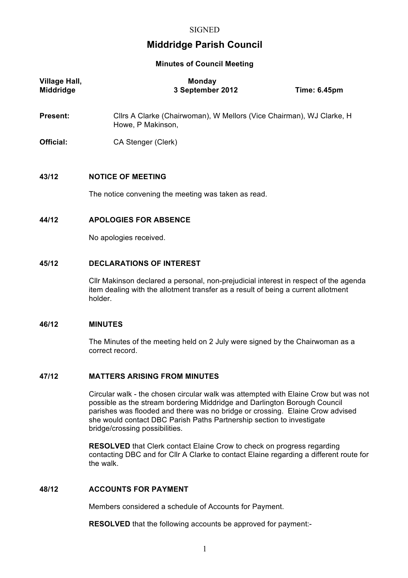# **Middridge Parish Council**

#### **Minutes of Council Meeting**

| <b>Village Hall,</b><br><b>Middridge</b> | <b>Monday</b><br>3 September 2012                                                         | <b>Time: 6.45pm</b> |
|------------------------------------------|-------------------------------------------------------------------------------------------|---------------------|
| <b>Present:</b>                          | Cllrs A Clarke (Chairwoman), W Mellors (Vice Chairman), WJ Clarke, H<br>Howe, P Makinson, |                     |
| Official:                                | CA Stenger (Clerk)                                                                        |                     |
| 43/12                                    | <b>NOTICE OF MEETING</b>                                                                  |                     |

The notice convening the meeting was taken as read.

#### **44/12 APOLOGIES FOR ABSENCE**

No apologies received.

#### **45/12 DECLARATIONS OF INTEREST**

Cllr Makinson declared a personal, non-prejudicial interest in respect of the agenda item dealing with the allotment transfer as a result of being a current allotment holder.

#### **46/12 MINUTES**

The Minutes of the meeting held on 2 July were signed by the Chairwoman as a correct record.

#### **47/12 MATTERS ARISING FROM MINUTES**

Circular walk - the chosen circular walk was attempted with Elaine Crow but was not possible as the stream bordering Middridge and Darlington Borough Council parishes was flooded and there was no bridge or crossing. Elaine Crow advised she would contact DBC Parish Paths Partnership section to investigate bridge/crossing possibilities.

**RESOLVED** that Clerk contact Elaine Crow to check on progress regarding contacting DBC and for Cllr A Clarke to contact Elaine regarding a different route for the walk.

### **48/12 ACCOUNTS FOR PAYMENT**

Members considered a schedule of Accounts for Payment.

**RESOLVED** that the following accounts be approved for payment:-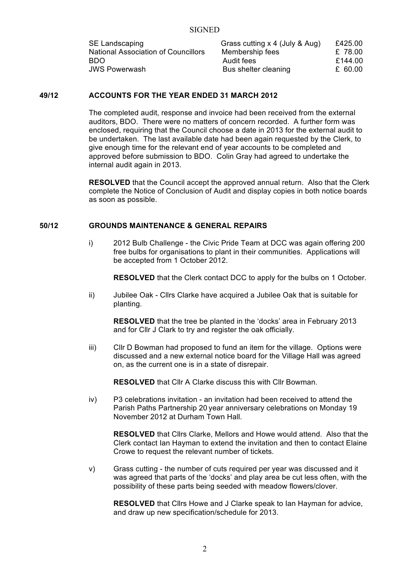| SE Landscaping                             | Grass cutting x 4 (July & Aug) | £425.00 |
|--------------------------------------------|--------------------------------|---------|
| <b>National Association of Councillors</b> | Membership fees                | £ 78.00 |
| BDO.                                       | Audit fees                     | £144.00 |
| <b>JWS Powerwash</b>                       | Bus shelter cleaning           | £ 60.00 |

# **49/12 ACCOUNTS FOR THE YEAR ENDED 31 MARCH 2012**

The completed audit, response and invoice had been received from the external auditors, BDO. There were no matters of concern recorded. A further form was enclosed, requiring that the Council choose a date in 2013 for the external audit to be undertaken. The last available date had been again requested by the Clerk, to give enough time for the relevant end of year accounts to be completed and approved before submission to BDO. Colin Gray had agreed to undertake the internal audit again in 2013.

**RESOLVED** that the Council accept the approved annual return. Also that the Clerk complete the Notice of Conclusion of Audit and display copies in both notice boards as soon as possible.

#### **50/12 GROUNDS MAINTENANCE & GENERAL REPAIRS**

i) 2012 Bulb Challenge - the Civic Pride Team at DCC was again offering 200 free bulbs for organisations to plant in their communities. Applications will be accepted from 1 October 2012.

**RESOLVED** that the Clerk contact DCC to apply for the bulbs on 1 October.

ii) Jubilee Oak - Cllrs Clarke have acquired a Jubilee Oak that is suitable for planting.

**RESOLVED** that the tree be planted in the 'docks' area in February 2013 and for Cllr J Clark to try and register the oak officially.

iii) Cllr D Bowman had proposed to fund an item for the village. Options were discussed and a new external notice board for the Village Hall was agreed on, as the current one is in a state of disrepair.

**RESOLVED** that Cllr A Clarke discuss this with Cllr Bowman.

iv) P3 celebrations invitation - an invitation had been received to attend the Parish Paths Partnership 20 year anniversary celebrations on Monday 19 November 2012 at Durham Town Hall.

**RESOLVED** that Cllrs Clarke, Mellors and Howe would attend. Also that the Clerk contact Ian Hayman to extend the invitation and then to contact Elaine Crowe to request the relevant number of tickets.

v) Grass cutting - the number of cuts required per year was discussed and it was agreed that parts of the 'docks' and play area be cut less often, with the possibility of these parts being seeded with meadow flowers/clover.

**RESOLVED** that Cllrs Howe and J Clarke speak to Ian Hayman for advice, and draw up new specification/schedule for 2013.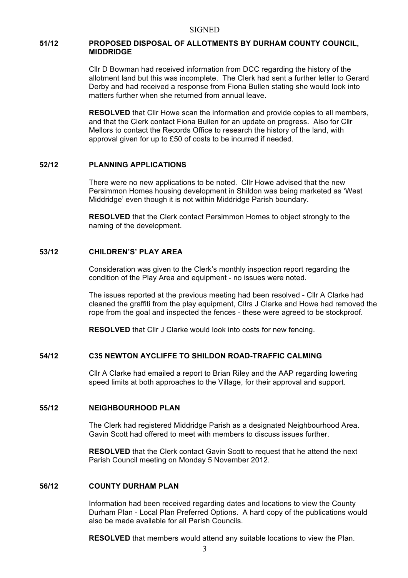### **51/12 PROPOSED DISPOSAL OF ALLOTMENTS BY DURHAM COUNTY COUNCIL, MIDDRIDGE**

Cllr D Bowman had received information from DCC regarding the history of the allotment land but this was incomplete. The Clerk had sent a further letter to Gerard Derby and had received a response from Fiona Bullen stating she would look into matters further when she returned from annual leave.

**RESOLVED** that Cllr Howe scan the information and provide copies to all members, and that the Clerk contact Fiona Bullen for an update on progress. Also for Cllr Mellors to contact the Records Office to research the history of the land, with approval given for up to £50 of costs to be incurred if needed.

#### **52/12 PLANNING APPLICATIONS**

There were no new applications to be noted. Cllr Howe advised that the new Persimmon Homes housing development in Shildon was being marketed as 'West Middridge' even though it is not within Middridge Parish boundary.

**RESOLVED** that the Clerk contact Persimmon Homes to object strongly to the naming of the development.

## **53/12 CHILDREN'S' PLAY AREA**

Consideration was given to the Clerk's monthly inspection report regarding the condition of the Play Area and equipment - no issues were noted.

The issues reported at the previous meeting had been resolved - Cllr A Clarke had cleaned the graffiti from the play equipment, Cllrs J Clarke and Howe had removed the rope from the goal and inspected the fences - these were agreed to be stockproof.

**RESOLVED** that Cllr J Clarke would look into costs for new fencing.

## **54/12 C35 NEWTON AYCLIFFE TO SHILDON ROAD-TRAFFIC CALMING**

Cllr A Clarke had emailed a report to Brian Riley and the AAP regarding lowering speed limits at both approaches to the Village, for their approval and support.

#### **55/12 NEIGHBOURHOOD PLAN**

The Clerk had registered Middridge Parish as a designated Neighbourhood Area. Gavin Scott had offered to meet with members to discuss issues further.

**RESOLVED** that the Clerk contact Gavin Scott to request that he attend the next Parish Council meeting on Monday 5 November 2012.

#### **56/12 COUNTY DURHAM PLAN**

Information had been received regarding dates and locations to view the County Durham Plan - Local Plan Preferred Options. A hard copy of the publications would also be made available for all Parish Councils.

**RESOLVED** that members would attend any suitable locations to view the Plan.